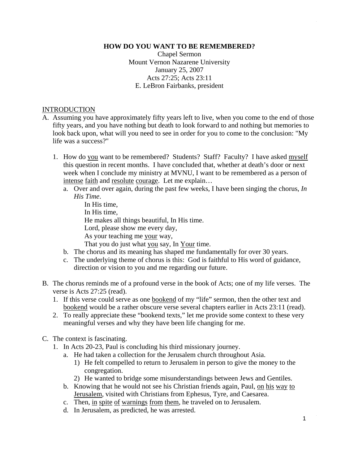#### **HOW DO YOU WANT TO BE REMEMBERED?**

Chapel Sermon Mount Vernon Nazarene University January 25, 2007 Acts 27:25; Acts 23:11 E. LeBron Fairbanks, president

#### **INTRODUCTION**

- A. Assuming you have approximately fifty years left to live, when you come to the end of those fifty years, and you have nothing but death to look forward to and nothing but memories to look back upon, what will you need to see in order for you to come to the conclusion: "My life was a success?"
	- 1. How do you want to be remembered? Students? Staff? Faculty? I have asked myself this question in recent months. I have concluded that, whether at death's door or next week when I conclude my ministry at MVNU, I want to be remembered as a person of intense faith and resolute courage. Let me explain…
		- a. Over and over again, during the past few weeks, I have been singing the chorus, *In His Time*.
			- In His time, In His time, He makes all things beautiful, In His time. Lord, please show me every day, As your teaching me your way,
			- That you do just what you say, In Your time.
		- b. The chorus and its meaning has shaped me fundamentally for over 30 years.
		- c. The underlying theme of chorus is this: God is faithful to His word of guidance, direction or vision to you and me regarding our future.
- B. The chorus reminds me of a profound verse in the book of Acts; one of my life verses. The verse is Acts 27:25 (read).
	- 1. If this verse could serve as one bookend of my "life" sermon, then the other text and bookend would be a rather obscure verse several chapters earlier in Acts 23:11 (read).
	- 2. To really appreciate these "bookend texts," let me provide some context to these very meaningful verses and why they have been life changing for me.
- C. The context is fascinating.
	- 1. In Acts 20-23, Paul is concluding his third missionary journey.
		- a. He had taken a collection for the Jerusalem church throughout Asia.
			- 1) He felt compelled to return to Jerusalem in person to give the money to the congregation.
			- 2) He wanted to bridge some misunderstandings between Jews and Gentiles.
		- b. Knowing that he would not see his Christian friends again, Paul, on his way to Jerusalem, visited with Christians from Ephesus, Tyre, and Caesarea.
		- c. Then, in spite of warnings from them, he traveled on to Jerusalem.
		- d. In Jerusalem, as predicted, he was arrested.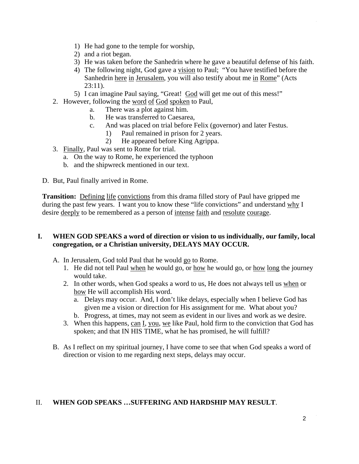- 1) He had gone to the temple for worship,
- 2) and a riot began.
- 3) He was taken before the Sanhedrin where he gave a beautiful defense of his faith.
- 4) The following night, God gave a vision to Paul; "You have testified before the Sanhedrin here in Jerusalem, you will also testify about me in Rome" (Acts  $23:11$ ).
- 5) I can imagine Paul saying, "Great! God will get me out of this mess!"
- 2. However, following the word of God spoken to Paul,
	- a. There was a plot against him.
	- b. He was transferred to Caesarea,
	- c. And was placed on trial before Felix (governor) and later Festus.
		- 1) Paul remained in prison for 2 years.
		- 2) He appeared before King Agrippa.
- 3. Finally, Paul was sent to Rome for trial.
	- a. On the way to Rome, he experienced the typhoon
	- b. and the shipwreck mentioned in our text.
- D. But, Paul finally arrived in Rome.

**Transition:** Defining life convictions from this drama filled story of Paul have gripped me during the past few years. I want you to know these "life convictions" and understand why I desire deeply to be remembered as a person of intense faith and resolute courage.

### **I. WHEN GOD SPEAKS a word of direction or vision to us individually, our family, local congregation, or a Christian university, DELAYS MAY OCCUR.**

- A. In Jerusalem, God told Paul that he would go to Rome.
	- 1. He did not tell Paul when he would go, or how he would go, or how long the journey would take.
	- 2. In other words, when God speaks a word to us, He does not always tell us when or how He will accomplish His word.
		- a. Delays may occur. And, I don't like delays, especially when I believe God has given me a vision or direction for His assignment for me. What about you?
		- b. Progress, at times, may not seem as evident in our lives and work as we desire.
	- 3. When this happens, can I, you, we like Paul, hold firm to the conviction that God has spoken; and that IN HIS TIME, what he has promised, he will fulfill?
- B. As I reflect on my spiritual journey, I have come to see that when God speaks a word of direction or vision to me regarding next steps, delays may occur.

# II. **WHEN GOD SPEAKS …SUFFERING AND HARDSHIP MAY RESULT**.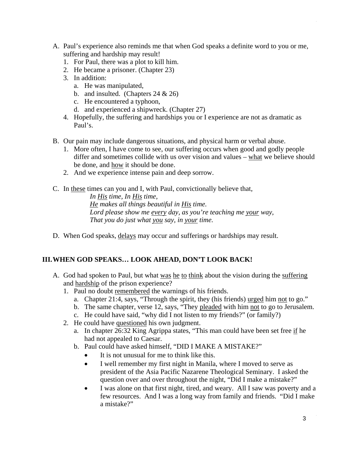- A. Paul's experience also reminds me that when God speaks a definite word to you or me, suffering and hardship may result!
	- 1. For Paul, there was a plot to kill him.
	- 2. He became a prisoner. (Chapter 23)
	- 3. In addition:
		- a. He was manipulated,
		- b. and insulted. (Chapters 24 & 26)
		- c. He encountered a typhoon,
		- d. and experienced a shipwreck. (Chapter 27)
	- 4. Hopefully, the suffering and hardships you or I experience are not as dramatic as Paul's.
- B. Our pain may include dangerous situations, and physical harm or verbal abuse.
	- 1. More often, I have come to see, our suffering occurs when good and godly people differ and sometimes collide with us over vision and values – what we believe should be done, and how it should be done.
	- 2. And we experience intense pain and deep sorrow.
- C. In these times can you and I, with Paul, convictionally believe that,

*In His time, In His time, He makes all things beautiful in His time. Lord please show me every day, as you're teaching me your way, That you do just what you say, in your time.* 

D. When God speaks, delays may occur and sufferings or hardships may result.

# **III. WHEN GOD SPEAKS… LOOK AHEAD, DON'T LOOK BACK!**

- A. God had spoken to Paul, but what was he to think about the vision during the suffering and hardship of the prison experience?
	- 1. Paul no doubt remembered the warnings of his friends.
		- a. Chapter 21:4, says, "Through the spirit, they (his friends) urged him not to go."
		- b. The same chapter, verse 12, says, "They pleaded with him not to go to Jerusalem.
		- c. He could have said, "why did I not listen to my friends?" (or family?)
	- 2. He could have questioned his own judgment.
		- a. In chapter  $26:32$  King Agrippa states, "This man could have been set free if he had not appealed to Caesar.
		- b. Paul could have asked himself, "DID I MAKE A MISTAKE?"
			- It is not unusual for me to think like this.
			- I well remember my first night in Manila, where I moved to serve as president of the Asia Pacific Nazarene Theological Seminary. I asked the question over and over throughout the night, "Did I make a mistake?"
			- I was alone on that first night, tired, and weary. All I saw was poverty and a few resources. And I was a long way from family and friends. "Did I make a mistake?"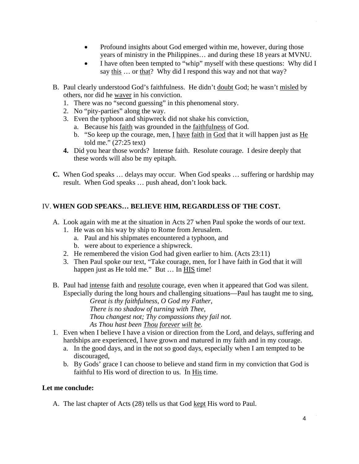- Profound insights about God emerged within me, however, during those years of ministry in the Philippines… and during these 18 years at MVNU.
- I have often been tempted to "whip" myself with these questions: Why did I say this ... or that? Why did I respond this way and not that way?
- B. Paul clearly understood God's faithfulness. He didn't doubt God; he wasn't misled by others, nor did he waver in his conviction.
	- 1. There was no "second guessing" in this phenomenal story.
	- 2. No "pity-parties" along the way.
	- 3. Even the typhoon and shipwreck did not shake his conviction,
		- a. Because his faith was grounded in the faithfulness of God.
		- b. "So keep up the courage, men, I have faith in God that it will happen just as He told me." (27:25 text)
	- **4.** Did you hear those words? Intense faith. Resolute courage. I desire deeply that these words will also be my epitaph.
- **C.** When God speaks … delays may occur. When God speaks … suffering or hardship may result. When God speaks … push ahead, don't look back.

# IV. **WHEN GOD SPEAKS… BELIEVE HIM, REGARDLESS OF THE COST.**

- A. Look again with me at the situation in Acts 27 when Paul spoke the words of our text.
	- 1. He was on his way by ship to Rome from Jerusalem.
		- a. Paul and his shipmates encountered a typhoon, and
		- b. were about to experience a shipwreck.
	- 2. He remembered the vision God had given earlier to him. (Acts 23:11)
	- 3. Then Paul spoke our text, "Take courage, men, for I have faith in God that it will happen just as He told me." But ... In **HIS** time!
- B. Paul had intense faith and resolute courage, even when it appeared that God was silent. Especially during the long hours and challenging situations—Paul has taught me to sing,

*Great is thy faithfulness, O God my Father, There is no shadow of turning with Thee, Thou changest not; Thy compassions they fail not. As Thou hast been Thou forever wilt be.* 

- 1. Even when I believe I have a vision or direction from the Lord, and delays, suffering and hardships are experienced, I have grown and matured in my faith and in my courage.
	- a. In the good days, and in the not so good days, especially when I am tempted to be discouraged,
	- b. By Gods' grace I can choose to believe and stand firm in my conviction that God is faithful to His word of direction to us. In His time.

#### **Let me conclude:**

A. The last chapter of Acts (28) tells us that God kept His word to Paul.